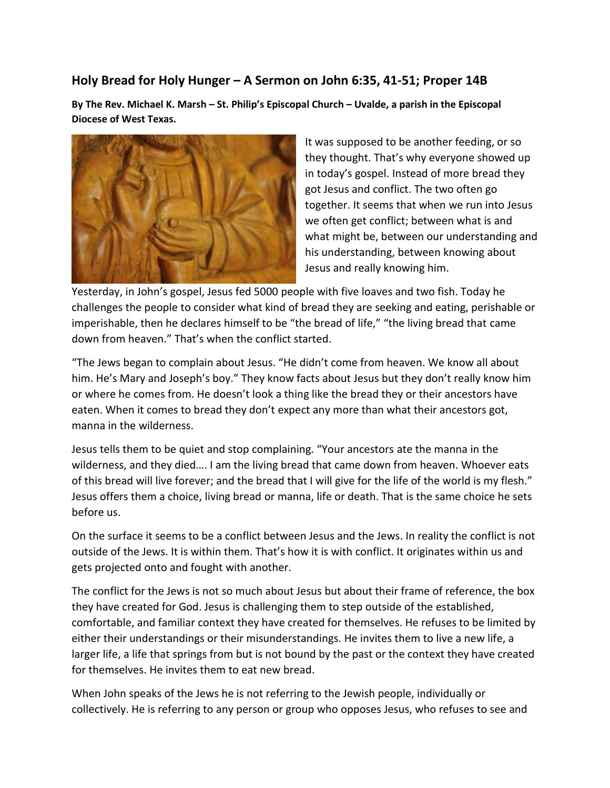## **Holy Bread for Holy Hunger – A Sermon on John 6:35, 41-51; Proper 14B**

**By The Rev. Michael K. Marsh – St. Philip's Episcopal Church – Uvalde, a parish in the Episcopal Diocese of West Texas.**



It was supposed to be another feeding, or so they thought. That's why everyone showed up in today's gospel. Instead of more bread they got Jesus and conflict. The two often go together. It seems that when we run into Jesus we often get conflict; between what is and what might be, between our understanding and his understanding, between knowing about Jesus and really knowing him.

Yesterday, in John's gospel, Jesus fed 5000 people with five loaves and two fish. Today he challenges the people to consider what kind of bread they are seeking and eating, perishable or imperishable, then he declares himself to be "the bread of life," "the living bread that came down from heaven." That's when the conflict started.

"The Jews began to complain about Jesus. "He didn't come from heaven. We know all about him. He's Mary and Joseph's boy." They know facts about Jesus but they don't really know him or where he comes from. He doesn't look a thing like the bread they or their ancestors have eaten. When it comes to bread they don't expect any more than what their ancestors got, manna in the wilderness.

Jesus tells them to be quiet and stop complaining. "Your ancestors ate the manna in the wilderness, and they died…. I am the living bread that came down from heaven. Whoever eats of this bread will live forever; and the bread that I will give for the life of the world is my flesh." Jesus offers them a choice, living bread or manna, life or death. That is the same choice he sets before us.

On the surface it seems to be a conflict between Jesus and the Jews. In reality the conflict is not outside of the Jews. It is within them. That's how it is with conflict. It originates within us and gets projected onto and fought with another.

The conflict for the Jews is not so much about Jesus but about their frame of reference, the box they have created for God. Jesus is challenging them to step outside of the established, comfortable, and familiar context they have created for themselves. He refuses to be limited by either their understandings or their misunderstandings. He invites them to live a new life, a larger life, a life that springs from but is not bound by the past or the context they have created for themselves. He invites them to eat new bread.

When John speaks of the Jews he is not referring to the Jewish people, individually or collectively. He is referring to any person or group who opposes Jesus, who refuses to see and